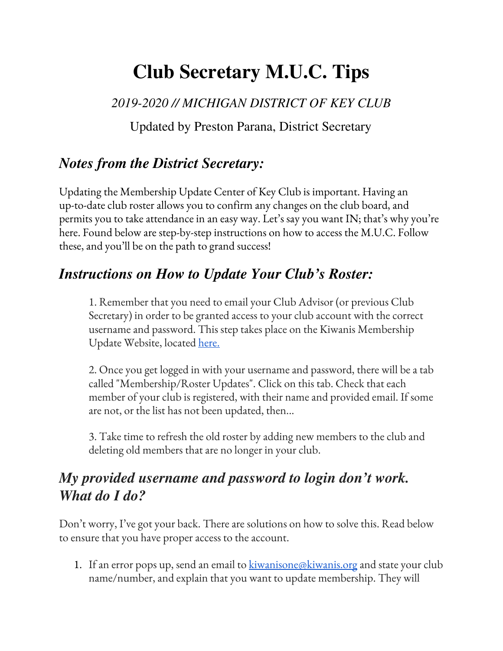# **Club Secretary M.U.C. Tips**

*2019-2020 // MICHIGAN DISTRICT OF KEY CLUB*

Updated by Preston Parana, District Secretary

### *Notes from the District Secretary:*

Updating the Membership Update Center of Key Club is important. Having an up-to-date club roster allows you to confirm any changes on the club board, and permits you to take attendance in an easy way. Let's say you want IN; that's why you're here. Found below are step-by-step instructions on how to access the M.U.C. Follow these, and you'll be on the path to grand success!

#### *Instructions on How to Update Your Club's Roster:*

1. Remember that you need to email your Club Advisor (or previous Club Secretary) in order to be granted access to your club account with the correct username and password. This step takes place on the Kiwanis Membership Update Website, located [here.](https://members.kiwanis.org/)

2. Once you get logged in with your username and password, there will be a tab called "Membership/Roster Updates". Click on this tab. Check that each member of your club is registered, with their name and provided email. If some are not, or the list has not been updated, then...

3. Take time to refresh the old roster by adding new members to the club and deleting old members that are no longer in your club.

### *My provided username and password to login don't work. What do I do?*

Don't worry, I've got your back. There are solutions on how to solve this. Read below to ensure that you have proper access to the account.

1. If an error pops up, send an email to <u>[kiwanisone@kiwanis.org](mailto:kiwanisone@kiwanis.org)</u> and state your club name/number, and explain that you want to update membership. They will